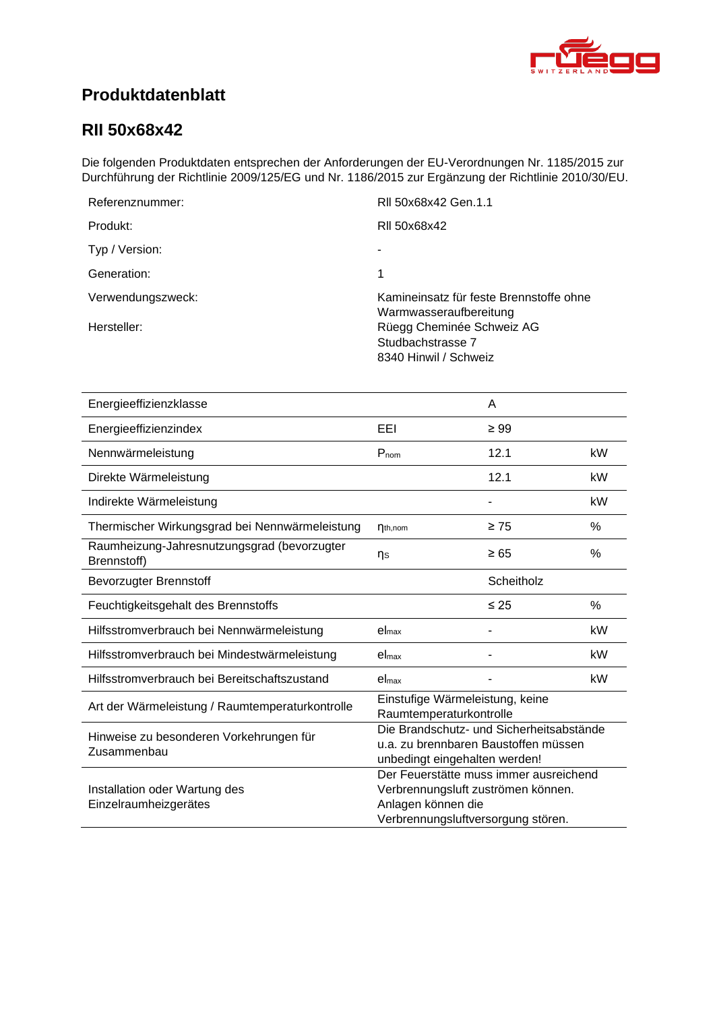<span id="page-0-4"></span><span id="page-0-3"></span><span id="page-0-2"></span><span id="page-0-1"></span>

## **Produktdatenblatt**

### <span id="page-0-0"></span>**RII 50x68x42**

Die folgenden Produktdaten entsprechen der Anforderungen der EU-Verordnungen Nr. 1185/2015 zur Durchführung der Richtlinie 2009/125/EG und Nr. 1186/2015 zur Ergänzung der Richtlinie 2010/30/EU.

| Referenznummer:   | RII 50x68x42 Gen.1.1                                                    |
|-------------------|-------------------------------------------------------------------------|
| Produkt:          | RII 50x68x42                                                            |
| Typ / Version:    |                                                                         |
| Generation:       | 1                                                                       |
| Verwendungszweck: | Kamineinsatz für feste Brennstoffe ohne<br>Warmwasseraufbereitung       |
| Hersteller:       | Rüegg Cheminée Schweiz AG<br>Studbachstrasse 7<br>8340 Hinwil / Schweiz |

<span id="page-0-8"></span><span id="page-0-7"></span><span id="page-0-6"></span><span id="page-0-5"></span>

| Energieeffizienzklasse                                     |                                                                                                                                          | A          |    |
|------------------------------------------------------------|------------------------------------------------------------------------------------------------------------------------------------------|------------|----|
| Energieeffizienzindex                                      | EEI                                                                                                                                      | $\geq 99$  |    |
| Nennwärmeleistung                                          | $P_{nom}$                                                                                                                                | 12.1       | kW |
| Direkte Wärmeleistung                                      |                                                                                                                                          | 12.1       | kW |
| Indirekte Wärmeleistung                                    |                                                                                                                                          |            | kW |
| Thermischer Wirkungsgrad bei Nennwärmeleistung             | $\eta_{th,nom}$                                                                                                                          | $\geq 75$  | %  |
| Raumheizung-Jahresnutzungsgrad (bevorzugter<br>Brennstoff) | ηs                                                                                                                                       | $\geq 65$  | %  |
| <b>Bevorzugter Brennstoff</b>                              |                                                                                                                                          | Scheitholz |    |
| Feuchtigkeitsgehalt des Brennstoffs                        |                                                                                                                                          | $\leq 25$  | %  |
| Hilfsstromverbrauch bei Nennwärmeleistung                  | el <sub>max</sub>                                                                                                                        |            | kW |
| Hilfsstromverbrauch bei Mindestwärmeleistung               | el <sub>max</sub>                                                                                                                        |            | kW |
| Hilfsstromverbrauch bei Bereitschaftszustand               | el <sub>max</sub>                                                                                                                        |            | kW |
| Art der Wärmeleistung / Raumtemperaturkontrolle            | Einstufige Wärmeleistung, keine<br>Raumtemperaturkontrolle                                                                               |            |    |
| Hinweise zu besonderen Vorkehrungen für<br>Zusammenbau     | Die Brandschutz- und Sicherheitsabstände<br>u.a. zu brennbaren Baustoffen müssen<br>unbedingt eingehalten werden!                        |            |    |
| Installation oder Wartung des<br>Einzelraumheizgerätes     | Der Feuerstätte muss immer ausreichend<br>Verbrennungsluft zuströmen können.<br>Anlagen können die<br>Verbrennungsluftversorgung stören. |            |    |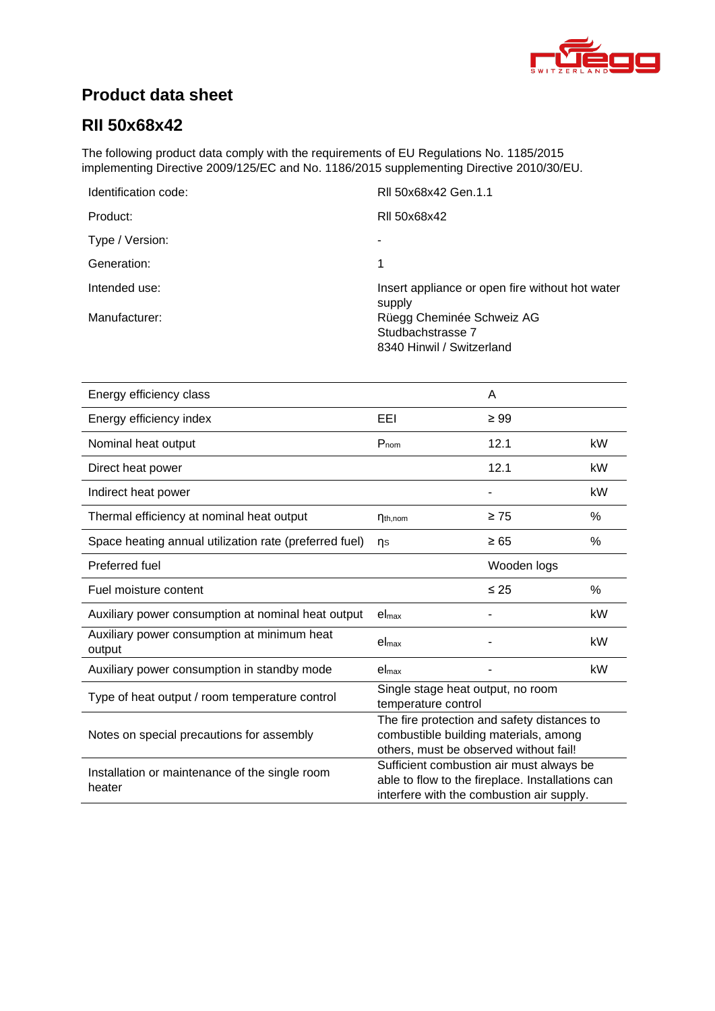

## **Product data sheet**

## **[RII 50x68x42](#page-0-0)**

The following product data comply with the requirements of EU Regulations No. 1185/2015 implementing Directive 2009/125/EC and No. 1186/2015 supplementing Directive 2010/30/EU.

| Identification code: | RII 50x68x42 Gen.1.1                                      |
|----------------------|-----------------------------------------------------------|
| Product:             | RII 50x68x42                                              |
| Type / Version:      |                                                           |
| Generation:          | 1                                                         |
| Intended use:        | Insert appliance or open fire without hot water<br>supply |
| Manufacturer:        | Rüegg Cheminée Schweiz AG                                 |
|                      | Studbachstrasse 7                                         |
|                      | 8340 Hinwil / Switzerland                                 |

| Energy efficiency class                                  |                                                                                                                                           | A           |      |
|----------------------------------------------------------|-------------------------------------------------------------------------------------------------------------------------------------------|-------------|------|
| Energy efficiency index                                  | EEI                                                                                                                                       | $\geq 99$   |      |
| Nominal heat output                                      | $P_{nom}$                                                                                                                                 | 12.1        | kW   |
| Direct heat power                                        |                                                                                                                                           | 12.1        | kW   |
| Indirect heat power                                      |                                                                                                                                           |             | kW   |
| Thermal efficiency at nominal heat output                | $\eta_{th,nom}$                                                                                                                           | $\geq 75$   | %    |
| Space heating annual utilization rate (preferred fuel)   | ns                                                                                                                                        | $\geq 65$   | %    |
| Preferred fuel                                           |                                                                                                                                           | Wooden logs |      |
| Fuel moisture content                                    |                                                                                                                                           | $\leq 25$   | $\%$ |
| Auxiliary power consumption at nominal heat output       | el <sub>max</sub>                                                                                                                         |             | kW   |
| Auxiliary power consumption at minimum heat<br>output    | $el_{\text{max}}$                                                                                                                         |             | kW   |
| Auxiliary power consumption in standby mode              | el <sub>max</sub>                                                                                                                         |             | kW   |
| Type of heat output / room temperature control           | Single stage heat output, no room<br>temperature control                                                                                  |             |      |
| Notes on special precautions for assembly                | The fire protection and safety distances to<br>combustible building materials, among<br>others, must be observed without fail!            |             |      |
| Installation or maintenance of the single room<br>heater | Sufficient combustion air must always be<br>able to flow to the fireplace. Installations can<br>interfere with the combustion air supply. |             |      |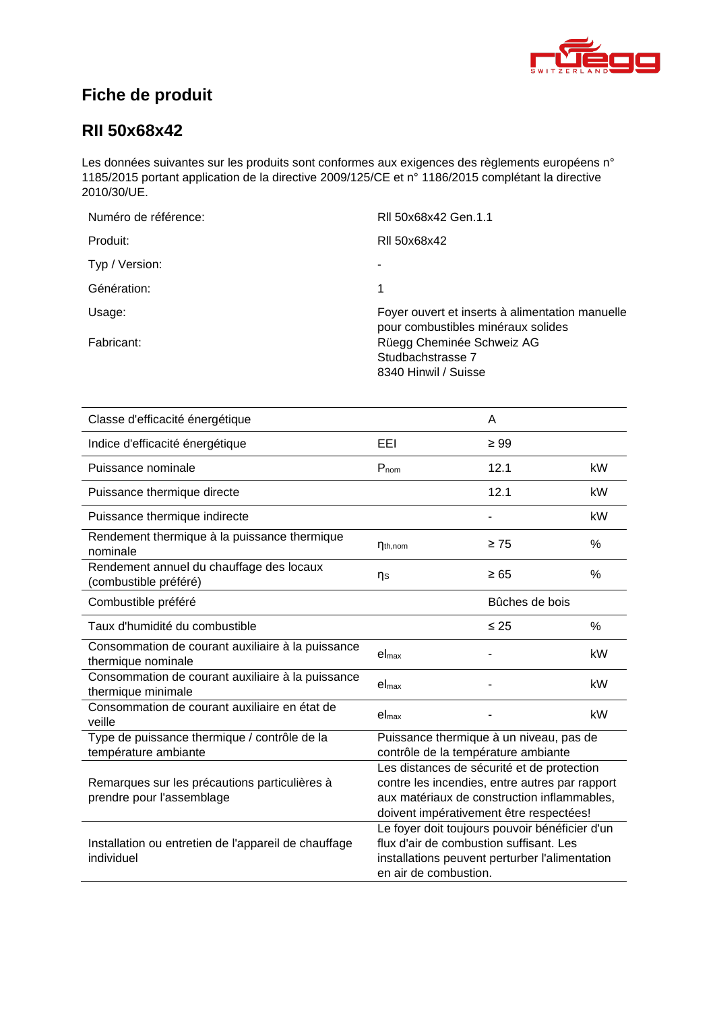

# **Fiche de produit**

### **[RII 50x68x42](#page-0-0)**

Les données suivantes sur les produits sont conformes aux exigences des règlements européens n° 1185/2015 portant application de la directive 2009/125/CE et n° 1186/2015 complétant la directive 2010/30/UE.

| Numéro de référence: | RII 50x68x42 Gen.1.1                                                                  |
|----------------------|---------------------------------------------------------------------------------------|
| Produit:             | RII 50x68x42                                                                          |
| Typ / Version:       | ۰                                                                                     |
| Génération:          | 1                                                                                     |
| Usage:               | Foyer ouvert et inserts à alimentation manuelle<br>pour combustibles minéraux solides |
| Fabricant:           | Rüegg Cheminée Schweiz AG<br>Studbachstrasse 7<br>8340 Hinwil / Suisse                |

| Classe d'efficacité énergétique                                            |                                                                                                                                                                                        | A              |      |
|----------------------------------------------------------------------------|----------------------------------------------------------------------------------------------------------------------------------------------------------------------------------------|----------------|------|
| Indice d'efficacité énergétique                                            | EEL                                                                                                                                                                                    | $\geq 99$      |      |
| Puissance nominale                                                         | $P_{nom}$                                                                                                                                                                              | 12.1           | kW   |
| Puissance thermique directe                                                |                                                                                                                                                                                        | 12.1           | kW   |
| Puissance thermique indirecte                                              |                                                                                                                                                                                        |                | kW   |
| Rendement thermique à la puissance thermique<br>nominale                   | $\eta_{th,nom}$                                                                                                                                                                        | $\geq 75$      | $\%$ |
| Rendement annuel du chauffage des locaux<br>(combustible préféré)          | ηs                                                                                                                                                                                     | $\geq 65$      | %    |
| Combustible préféré                                                        |                                                                                                                                                                                        | Bûches de bois |      |
| Taux d'humidité du combustible                                             |                                                                                                                                                                                        | $\leq 25$      | $\%$ |
| Consommation de courant auxiliaire à la puissance<br>thermique nominale    | el <sub>max</sub>                                                                                                                                                                      |                | kW   |
| Consommation de courant auxiliaire à la puissance<br>thermique minimale    | $el_{max}$                                                                                                                                                                             |                | kW   |
| Consommation de courant auxiliaire en état de<br>veille                    | el <sub>max</sub>                                                                                                                                                                      |                | kW   |
| Type de puissance thermique / contrôle de la<br>température ambiante       | Puissance thermique à un niveau, pas de<br>contrôle de la température ambiante                                                                                                         |                |      |
| Remarques sur les précautions particulières à<br>prendre pour l'assemblage | Les distances de sécurité et de protection<br>contre les incendies, entre autres par rapport<br>aux matériaux de construction inflammables,<br>doivent impérativement être respectées! |                |      |
| Installation ou entretien de l'appareil de chauffage<br>individuel         | Le foyer doit toujours pouvoir bénéficier d'un<br>flux d'air de combustion suffisant. Les<br>installations peuvent perturber l'alimentation<br>en air de combustion.                   |                |      |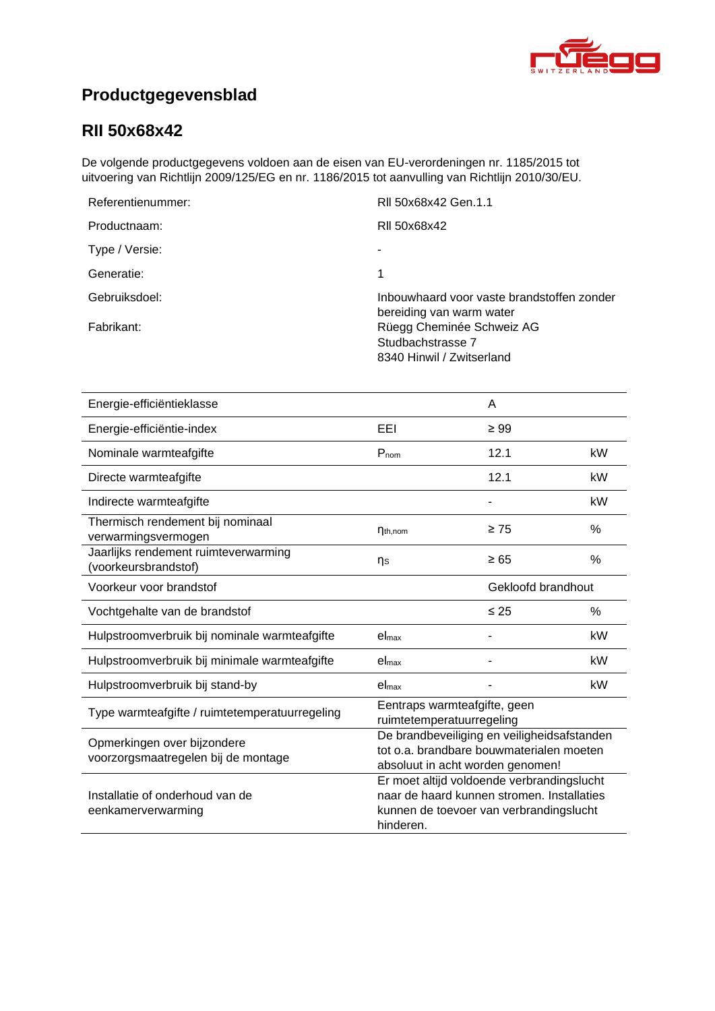

# **Productgegevensblad**

### **[RII 50x68x42](#page-0-0)**

De volgende productgegevens voldoen aan de eisen van EU-verordeningen nr. 1185/2015 tot uitvoering van Richtlijn 2009/125/EG en nr. 1186/2015 tot aanvulling van Richtlijn 2010/30/EU.

| Referentienummer: | RII 50x68x42 Gen.1.1                                                        |
|-------------------|-----------------------------------------------------------------------------|
| Productnaam:      | RII 50x68x42                                                                |
| Type / Versie:    |                                                                             |
| Generatie:        |                                                                             |
| Gebruiksdoel:     | Inbouwhaard voor vaste brandstoffen zonder<br>bereiding van warm water      |
| Fabrikant:        | Rüegg Cheminée Schweiz AG<br>Studbachstrasse 7<br>8340 Hinwil / Zwitserland |

| Energie-efficiëntieklasse                                          |                                                                                                                                                  | A         |               |
|--------------------------------------------------------------------|--------------------------------------------------------------------------------------------------------------------------------------------------|-----------|---------------|
| Energie-efficiëntie-index                                          | EEI                                                                                                                                              | $\geq 99$ |               |
| Nominale warmteafgifte                                             | $P_{nom}$                                                                                                                                        | 12.1      | kW            |
| Directe warmteafgifte                                              |                                                                                                                                                  | 12.1      | kW            |
| Indirecte warmteafgifte                                            |                                                                                                                                                  |           | kW            |
| Thermisch rendement bij nominaal<br>verwarmingsvermogen            | $\eta_{th,nom}$                                                                                                                                  | $\geq 75$ | $\frac{0}{0}$ |
| Jaarlijks rendement ruimteverwarming<br>(voorkeursbrandstof)       | ns                                                                                                                                               | $\geq 65$ | %             |
| Voorkeur voor brandstof                                            | Gekloofd brandhout                                                                                                                               |           |               |
| Vochtgehalte van de brandstof                                      |                                                                                                                                                  | $\leq$ 25 | $\%$          |
| Hulpstroomverbruik bij nominale warmteafgifte                      | el <sub>max</sub>                                                                                                                                |           | kW            |
| Hulpstroomverbruik bij minimale warmteafgifte                      | el <sub>max</sub>                                                                                                                                |           | kW            |
| Hulpstroomverbruik bij stand-by                                    | el <sub>max</sub>                                                                                                                                |           | kW            |
| Type warmteafgifte / ruimtetemperatuurregeling                     | Eentraps warmteafgifte, geen<br>ruimtetemperatuurregeling                                                                                        |           |               |
| Opmerkingen over bijzondere<br>voorzorgsmaatregelen bij de montage | De brandbeveiliging en veiligheidsafstanden<br>tot o.a. brandbare bouwmaterialen moeten<br>absoluut in acht worden genomen!                      |           |               |
| Installatie of onderhoud van de<br>eenkamerverwarming              | Er moet altijd voldoende verbrandingslucht<br>naar de haard kunnen stromen. Installaties<br>kunnen de toevoer van verbrandingslucht<br>hinderen. |           |               |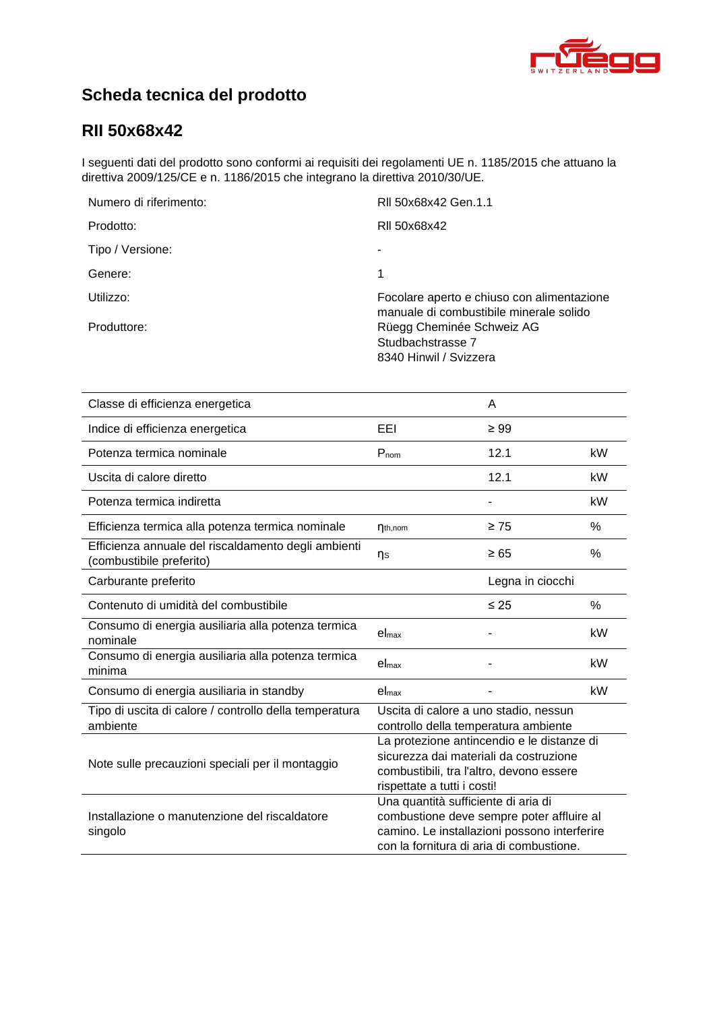

# **Scheda tecnica del prodotto**

## **[RII 50x68x42](#page-0-0)**

I seguenti dati del prodotto sono conformi ai requisiti dei regolamenti UE n. 1185/2015 che attuano la direttiva 2009/125/CE e n. 1186/2015 che integrano la direttiva 2010/30/UE.

| Numero di riferimento: | RII 50x68x42 Gen.1.1                                                                  |
|------------------------|---------------------------------------------------------------------------------------|
| Prodotto:              | RII 50x68x42                                                                          |
| Tipo / Versione:       |                                                                                       |
| Genere:                | 1                                                                                     |
| Utilizzo:              | Focolare aperto e chiuso con alimentazione<br>manuale di combustibile minerale solido |
| Produttore:            | Rüegg Cheminée Schweiz AG<br>Studbachstrasse 7<br>8340 Hinwil / Svizzera              |

| Classe di efficienza energetica                                                 |                                                                                                                                                                              | A                |    |
|---------------------------------------------------------------------------------|------------------------------------------------------------------------------------------------------------------------------------------------------------------------------|------------------|----|
| Indice di efficienza energetica                                                 | EEI                                                                                                                                                                          | $\geq 99$        |    |
| Potenza termica nominale                                                        | $P_{nom}$                                                                                                                                                                    | 12.1             | kW |
| Uscita di calore diretto                                                        |                                                                                                                                                                              | 12.1             | kW |
| Potenza termica indiretta                                                       |                                                                                                                                                                              |                  | kW |
| Efficienza termica alla potenza termica nominale                                | $\eta_{th,nom}$                                                                                                                                                              | $\geq 75$        | %  |
| Efficienza annuale del riscaldamento degli ambienti<br>(combustibile preferito) | ηs                                                                                                                                                                           | $\geq 65$        | %  |
| Carburante preferito                                                            |                                                                                                                                                                              | Legna in ciocchi |    |
| Contenuto di umidità del combustibile                                           |                                                                                                                                                                              | $\leq 25$        | %  |
| Consumo di energia ausiliaria alla potenza termica<br>nominale                  | el <sub>max</sub>                                                                                                                                                            |                  | kW |
| Consumo di energia ausiliaria alla potenza termica<br>minima                    | $el_{max}$                                                                                                                                                                   |                  | kW |
| Consumo di energia ausiliaria in standby                                        | el <sub>max</sub>                                                                                                                                                            |                  | kW |
| Tipo di uscita di calore / controllo della temperatura<br>ambiente              | Uscita di calore a uno stadio, nessun<br>controllo della temperatura ambiente                                                                                                |                  |    |
| Note sulle precauzioni speciali per il montaggio                                | La protezione antincendio e le distanze di<br>sicurezza dai materiali da costruzione<br>combustibili, tra l'altro, devono essere<br>rispettate a tutti i costi!              |                  |    |
| Installazione o manutenzione del riscaldatore<br>singolo                        | Una quantità sufficiente di aria di<br>combustione deve sempre poter affluire al<br>camino. Le installazioni possono interferire<br>con la fornitura di aria di combustione. |                  |    |